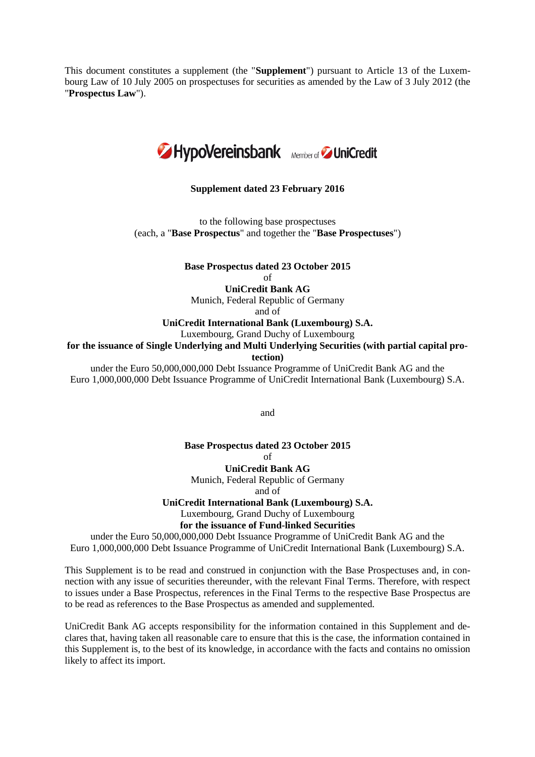This document constitutes a supplement (the "**Supplement**") pursuant to Article 13 of the Luxembourg Law of 10 July 2005 on prospectuses for securities as amended by the Law of 3 July 2012 (the "**Prospectus Law**").



#### **Supplement dated 23 February 2016**

to the following base prospectuses (each, a "**Base Prospectus**" and together the "**Base Prospectuses**")

**Base Prospectus dated 23 October 2015**

 $\alpha$ f

### **UniCredit Bank AG**

Munich, Federal Republic of Germany

and of

# **UniCredit International Bank (Luxembourg) S.A.**

Luxembourg, Grand Duchy of Luxembourg

**for the issuance of Single Underlying and Multi Underlying Securities (with partial capital pro-**

**tection)**

under the Euro 50,000,000,000 Debt Issuance Programme of UniCredit Bank AG and the Euro 1,000,000,000 Debt Issuance Programme of UniCredit International Bank (Luxembourg) S.A.

and

### **Base Prospectus dated 23 October 2015** of

**UniCredit Bank AG** Munich, Federal Republic of Germany and of

**UniCredit International Bank (Luxembourg) S.A.** Luxembourg, Grand Duchy of Luxembourg **for the issuance of Fund-linked Securities**

under the Euro 50,000,000,000 Debt Issuance Programme of UniCredit Bank AG and the Euro 1,000,000,000 Debt Issuance Programme of UniCredit International Bank (Luxembourg) S.A.

This Supplement is to be read and construed in conjunction with the Base Prospectuses and, in connection with any issue of securities thereunder, with the relevant Final Terms. Therefore, with respect to issues under a Base Prospectus, references in the Final Terms to the respective Base Prospectus are to be read as references to the Base Prospectus as amended and supplemented.

UniCredit Bank AG accepts responsibility for the information contained in this Supplement and declares that, having taken all reasonable care to ensure that this is the case, the information contained in this Supplement is, to the best of its knowledge, in accordance with the facts and contains no omission likely to affect its import.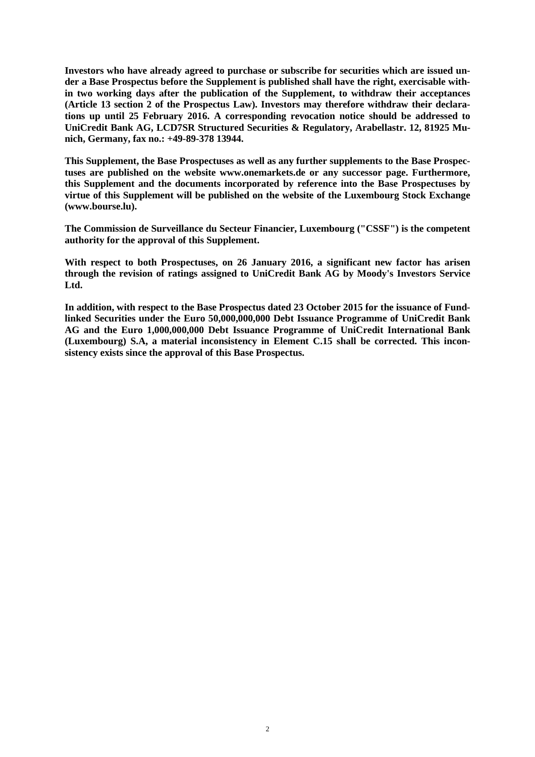**Investors who have already agreed to purchase or subscribe for securities which are issued under a Base Prospectus before the Supplement is published shall have the right, exercisable within two working days after the publication of the Supplement, to withdraw their acceptances (Article 13 section 2 of the Prospectus Law). Investors may therefore withdraw their declarations up until 25 February 2016. A corresponding revocation notice should be addressed to UniCredit Bank AG, LCD7SR Structured Securities & Regulatory, Arabellastr. 12, 81925 Munich, Germany, fax no.: +49-89-378 13944.**

**This Supplement, the Base Prospectuses as well as any further supplements to the Base Prospectuses are published on the website www.onemarkets.de or any successor page. Furthermore, this Supplement and the documents incorporated by reference into the Base Prospectuses by virtue of this Supplement will be published on the website of the Luxembourg Stock Exchange (www.bourse.lu).**

**The Commission de Surveillance du Secteur Financier, Luxembourg ("CSSF") is the competent authority for the approval of this Supplement.**

**With respect to both Prospectuses, on 26 January 2016, a significant new factor has arisen through the revision of ratings assigned to UniCredit Bank AG by Moody's Investors Service Ltd.**

**In addition, with respect to the Base Prospectus dated 23 October 2015 for the issuance of Fundlinked Securities under the Euro 50,000,000,000 Debt Issuance Programme of UniCredit Bank AG and the Euro 1,000,000,000 Debt Issuance Programme of UniCredit International Bank (Luxembourg) S.A, a material inconsistency in Element C.15 shall be corrected. This inconsistency exists since the approval of this Base Prospectus.**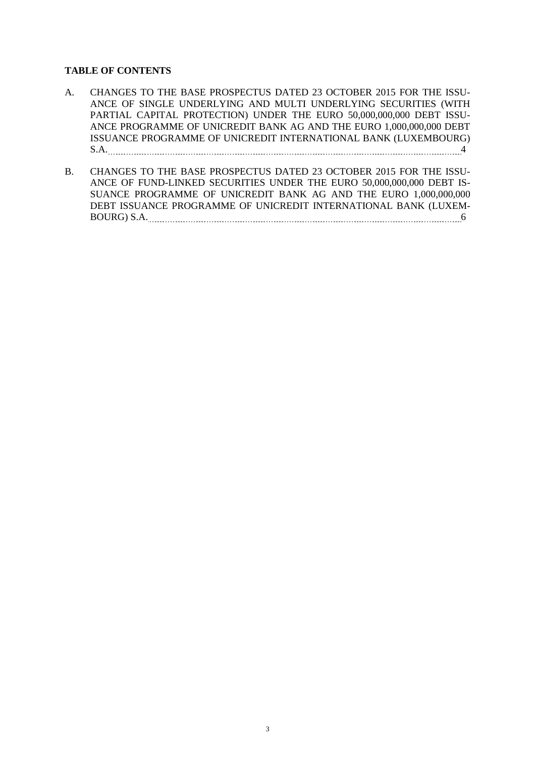## **TABLE OF CONTENTS**

- A. CHANGES TO THE BASE PROSPECTUS DATED 23 OCTOBER 2015 FOR THE ISSU-ANCE OF SINGLE UNDERLYING AND MULTI UNDERLYING SECURITIES (WITH PARTIAL CAPITAL PROTECTION) UNDER THE EURO 50,000,000,000 DEBT ISSU-ANCE PROGRAMME OF UNICREDIT BANK AG AND THE EURO 1,000,000,000 DEBT ISSUANCE PROGRAMME OF UNICREDIT INTERNATIONAL BANK (LUXEMBOURG) S.A. 44
- B. CHANGES TO THE BASE PROSPECTUS DATED 23 OCTOBER 2015 FOR THE ISSU-ANCE OF FUND-LINKED SECURITIES UNDER THE EURO 50,000,000,000 DEBT IS-SUANCE PROGRAMME OF UNICREDIT BANK AG AND THE EURO 1,000,000,000 DEBT ISSUANCE PROGRAMME OF UNICREDIT INTERNATIONAL BANK (LUXEM-BOURG) S.A. 5000 S.A. 5000 S.A. 5000 S.A. 5000 S.A. 5000 S.A. 5000 S.A. 5000 S.A. 5000 S.A. 5000 S.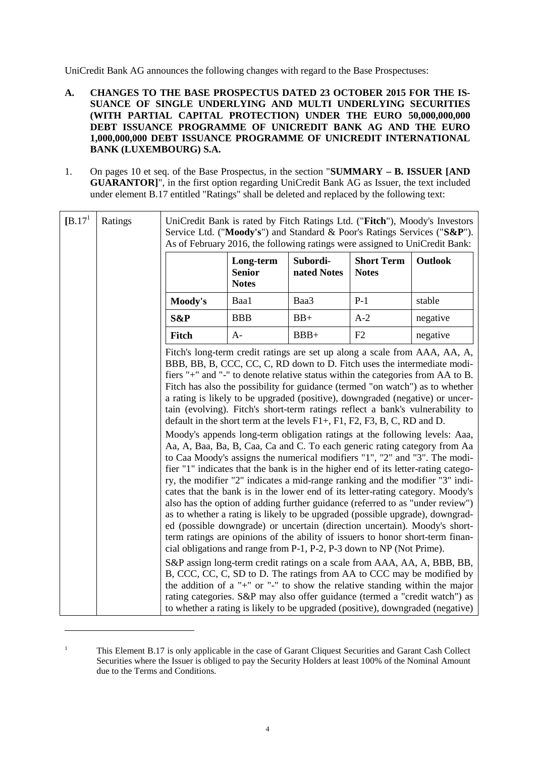UniCredit Bank AG announces the following changes with regard to the Base Prospectuses:

- **A. CHANGES TO THE BASE PROSPECTUS DATED 23 OCTOBER 2015 FOR THE IS-SUANCE OF SINGLE UNDERLYING AND MULTI UNDERLYING SECURITIES (WITH PARTIAL CAPITAL PROTECTION) UNDER THE EURO 50,000,000,000 DEBT ISSUANCE PROGRAMME OF UNICREDIT BANK AG AND THE EURO 1,000,000,000 DEBT ISSUANCE PROGRAMME OF UNICREDIT INTERNATIONAL BANK (LUXEMBOURG) S.A.**
- 1. On pages 10 et seq. of the Base Prospectus, in the section "**SUMMARY B. ISSUER [AND GUARANTOR]**", in the first option regarding UniCredit Bank AG as Issuer, the text included under element B.17 entitled "Ratings" shall be deleted and replaced by the following text:

| [B.17] | Ratings | UniCredit Bank is rated by Fitch Ratings Ltd. ("Fitch"), Moody's Investors<br>Service Ltd. ("Moody's") and Standard & Poor's Ratings Services ("S&P").<br>As of February 2016, the following ratings were assigned to UniCredit Bank:                                                                                                                                                                                                                                                                                                                                                                                                                                                                                                                                                                                                                                                                                      |                                            |                         |                                   |                                                                                                                                                                                                                                                                                                                                                                                                                                                                                                                                                                                                                                                                                                                                                                                                                                                                                                                                                                                     |
|--------|---------|----------------------------------------------------------------------------------------------------------------------------------------------------------------------------------------------------------------------------------------------------------------------------------------------------------------------------------------------------------------------------------------------------------------------------------------------------------------------------------------------------------------------------------------------------------------------------------------------------------------------------------------------------------------------------------------------------------------------------------------------------------------------------------------------------------------------------------------------------------------------------------------------------------------------------|--------------------------------------------|-------------------------|-----------------------------------|-------------------------------------------------------------------------------------------------------------------------------------------------------------------------------------------------------------------------------------------------------------------------------------------------------------------------------------------------------------------------------------------------------------------------------------------------------------------------------------------------------------------------------------------------------------------------------------------------------------------------------------------------------------------------------------------------------------------------------------------------------------------------------------------------------------------------------------------------------------------------------------------------------------------------------------------------------------------------------------|
|        |         |                                                                                                                                                                                                                                                                                                                                                                                                                                                                                                                                                                                                                                                                                                                                                                                                                                                                                                                            | Long-term<br><b>Senior</b><br><b>Notes</b> | Subordi-<br>nated Notes | <b>Short Term</b><br><b>Notes</b> | Outlook                                                                                                                                                                                                                                                                                                                                                                                                                                                                                                                                                                                                                                                                                                                                                                                                                                                                                                                                                                             |
|        |         | Moody's                                                                                                                                                                                                                                                                                                                                                                                                                                                                                                                                                                                                                                                                                                                                                                                                                                                                                                                    | Baa1                                       | Baa3                    | $P-1$                             | stable                                                                                                                                                                                                                                                                                                                                                                                                                                                                                                                                                                                                                                                                                                                                                                                                                                                                                                                                                                              |
|        |         | S&P                                                                                                                                                                                                                                                                                                                                                                                                                                                                                                                                                                                                                                                                                                                                                                                                                                                                                                                        | <b>BBB</b>                                 | $BB+$                   | $A-2$                             | negative                                                                                                                                                                                                                                                                                                                                                                                                                                                                                                                                                                                                                                                                                                                                                                                                                                                                                                                                                                            |
|        |         | Fitch                                                                                                                                                                                                                                                                                                                                                                                                                                                                                                                                                                                                                                                                                                                                                                                                                                                                                                                      | $A-$                                       | $BBB+$                  | F2                                | negative                                                                                                                                                                                                                                                                                                                                                                                                                                                                                                                                                                                                                                                                                                                                                                                                                                                                                                                                                                            |
|        |         | Fitch's long-term credit ratings are set up along a scale from AAA, AA, A,<br>BBB, BB, B, CCC, CC, C, RD down to D. Fitch uses the intermediate modi-<br>fiers "+" and "-" to denote relative status within the categories from AA to B.<br>default in the short term at the levels $F1+$ , $F1$ , $F2$ , $F3$ , $B$ , $C$ , $RD$ and $D$ .<br>to Caa Moody's assigns the numerical modifiers "1", "2" and "3". The modi-<br>fier "1" indicates that the bank is in the higher end of its letter-rating catego-<br>ry, the modifier "2" indicates a mid-range ranking and the modifier "3" indi-<br>as to whether a rating is likely to be upgraded (possible upgrade), downgrad-<br>ed (possible downgrade) or uncertain (direction uncertain). Moody's short-<br>term ratings are opinions of the ability of issuers to honor short-term finan-<br>cial obligations and range from P-1, P-2, P-3 down to NP (Not Prime). |                                            |                         |                                   | Fitch has also the possibility for guidance (termed "on watch") as to whether<br>a rating is likely to be upgraded (positive), downgraded (negative) or uncer-<br>tain (evolving). Fitch's short-term ratings reflect a bank's vulnerability to<br>Moody's appends long-term obligation ratings at the following levels: Aaa,<br>Aa, A, Baa, Ba, B, Caa, Ca and C. To each generic rating category from Aa<br>cates that the bank is in the lower end of its letter-rating category. Moody's<br>also has the option of adding further guidance (referred to as "under review")<br>S&P assign long-term credit ratings on a scale from AAA, AA, A, BBB, BB,<br>B, CCC, CC, C, SD to D. The ratings from AA to CCC may be modified by<br>the addition of a "+" or "-" to show the relative standing within the major<br>rating categories. S&P may also offer guidance (termed a "credit watch") as<br>to whether a rating is likely to be upgraded (positive), downgraded (negative) |

<sup>&</sup>lt;sup>1</sup> This Element B.17 is only applicable in the case of Garant Cliquest Securities and Garant Cash Collect Securities where the Issuer is obliged to pay the Security Holders at least 100% of the Nominal Amount due to the Terms and Conditions.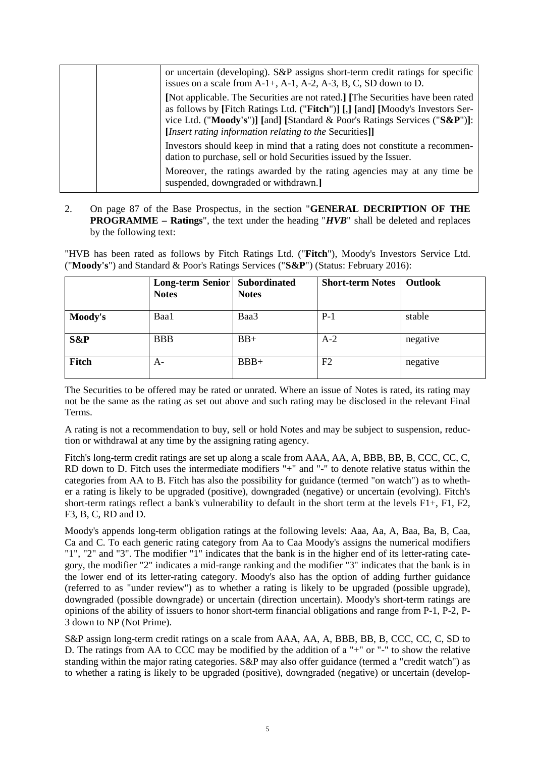|  | or uncertain (developing). S&P assigns short-term credit ratings for specific<br>issues on a scale from $A-1+$ , $A-1$ , $A-2$ , $A-3$ , $B$ , $C$ , $SD$ down to $D$ .                                                                                                                                    |
|--|------------------------------------------------------------------------------------------------------------------------------------------------------------------------------------------------------------------------------------------------------------------------------------------------------------|
|  | [Not applicable. The Securities are not rated.] [The Securities have been rated<br>as follows by [Fitch Ratings Ltd. ("Fitch")] [,] [and] [Moody's Investors Ser-<br>vice Ltd. ("Moody's")] [and] [Standard & Poor's Ratings Services ("S&P")]:<br>[Insert rating information relating to the Securities]] |
|  | Investors should keep in mind that a rating does not constitute a recommen-<br>dation to purchase, sell or hold Securities issued by the Issuer.                                                                                                                                                           |
|  | Moreover, the ratings awarded by the rating agencies may at any time be<br>suspended, downgraded or withdrawn.]                                                                                                                                                                                            |

2. On page 87 of the Base Prospectus, in the section "**GENERAL DECRIPTION OF THE PROGRAMME – Ratings**", the text under the heading "*HVB*" shall be deleted and replaces by the following text:

"HVB has been rated as follows by Fitch Ratings Ltd. ("**Fitch**"), Moody's Investors Service Ltd. ("**Moody's**") and Standard & Poor's Ratings Services ("**S&P**") (Status: February 2016):

|         | Long-term Senior   Subordinated<br><b>Notes</b> | <b>Notes</b> | <b>Short-term Notes</b> | Outlook  |
|---------|-------------------------------------------------|--------------|-------------------------|----------|
| Moody's | Baa1                                            | Baa3         | $P-1$                   | stable   |
| S&P     | <b>BBB</b>                                      | $BB+$        | $A-2$                   | negative |
| Fitch   | A-                                              | $BBB+$       | F <sub>2</sub>          | negative |

The Securities to be offered may be rated or unrated. Where an issue of Notes is rated, its rating may not be the same as the rating as set out above and such rating may be disclosed in the relevant Final Terms.

A rating is not a recommendation to buy, sell or hold Notes and may be subject to suspension, reduction or withdrawal at any time by the assigning rating agency.

Fitch's long-term credit ratings are set up along a scale from AAA, AA, A, BBB, BB, B, CCC, CC, C, RD down to D. Fitch uses the intermediate modifiers "+" and "-" to denote relative status within the categories from AA to B. Fitch has also the possibility for guidance (termed "on watch") as to whether a rating is likely to be upgraded (positive), downgraded (negative) or uncertain (evolving). Fitch's short-term ratings reflect a bank's vulnerability to default in the short term at the levels  $F1+$ ,  $F1$ ,  $F2$ , F3, B, C, RD and D.

Moody's appends long-term obligation ratings at the following levels: Aaa, Aa, A, Baa, Ba, B, Caa, Ca and C. To each generic rating category from Aa to Caa Moody's assigns the numerical modifiers "1", "2" and "3". The modifier "1" indicates that the bank is in the higher end of its letter-rating category, the modifier "2" indicates a mid-range ranking and the modifier "3" indicates that the bank is in the lower end of its letter-rating category. Moody's also has the option of adding further guidance (referred to as "under review") as to whether a rating is likely to be upgraded (possible upgrade), downgraded (possible downgrade) or uncertain (direction uncertain). Moody's short-term ratings are opinions of the ability of issuers to honor short-term financial obligations and range from P-1, P-2, P-3 down to NP (Not Prime).

S&P assign long-term credit ratings on a scale from AAA, AA, A, BBB, BB, B, CCC, CC, C, SD to D. The ratings from AA to CCC may be modified by the addition of a "+" or "-" to show the relative standing within the major rating categories. S&P may also offer guidance (termed a "credit watch") as to whether a rating is likely to be upgraded (positive), downgraded (negative) or uncertain (develop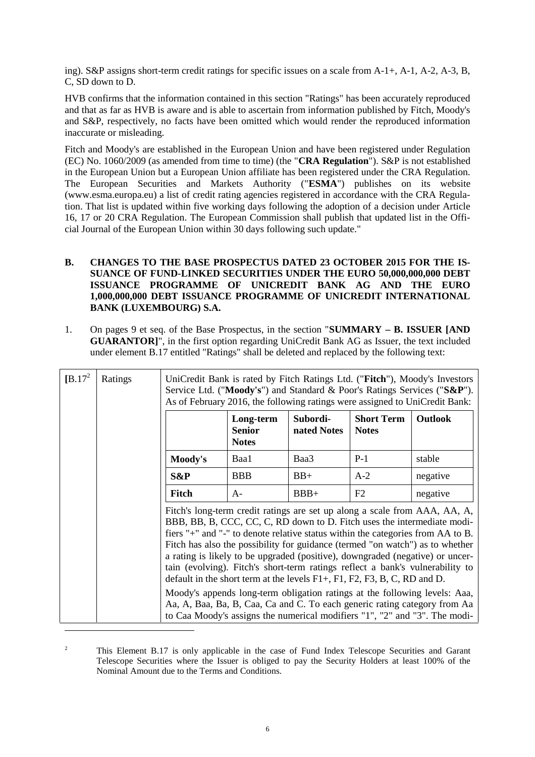ing). S&P assigns short-term credit ratings for specific issues on a scale from A-1+, A-1, A-2, A-3, B, C, SD down to D.

HVB confirms that the information contained in this section "Ratings" has been accurately reproduced and that as far as HVB is aware and is able to ascertain from information published by Fitch, Moody's and S&P, respectively, no facts have been omitted which would render the reproduced information inaccurate or misleading.

Fitch and Moody's are established in the European Union and have been registered under Regulation (EC) No. 1060/2009 (as amended from time to time) (the "**CRA Regulation**"). S&P is not established in the European Union but a European Union affiliate has been registered under the CRA Regulation. The European Securities and Markets Authority ("**ESMA**") publishes on its website (www.esma.europa.eu) a list of credit rating agencies registered in accordance with the CRA Regulation. That list is updated within five working days following the adoption of a decision under Article 16, 17 or 20 CRA Regulation. The European Commission shall publish that updated list in the Official Journal of the European Union within 30 days following such update."

- **B. CHANGES TO THE BASE PROSPECTUS DATED 23 OCTOBER 2015 FOR THE IS-SUANCE OF FUND-LINKED SECURITIES UNDER THE EURO 50,000,000,000 DEBT ISSUANCE PROGRAMME OF UNICREDIT BANK AG AND THE EURO 1,000,000,000 DEBT ISSUANCE PROGRAMME OF UNICREDIT INTERNATIONAL BANK (LUXEMBOURG) S.A.**
- 1. On pages 9 et seq. of the Base Prospectus, in the section "**SUMMARY B. ISSUER [AND GUARANTOR]**", in the first option regarding UniCredit Bank AG as Issuer, the text included under element B.17 entitled "Ratings" shall be deleted and replaced by the following text:

| $[B.17^2]$ | Ratings | UniCredit Bank is rated by Fitch Ratings Ltd. ("Fitch"), Moody's Investors<br>Service Ltd. ("Moody's") and Standard & Poor's Ratings Services ("S&P").<br>As of February 2016, the following ratings were assigned to UniCredit Bank:                                                                                                                                                                                                                                                                                                                                                                                                                                                                                                                                                                                                   |                                            |                         |                                   |                |
|------------|---------|-----------------------------------------------------------------------------------------------------------------------------------------------------------------------------------------------------------------------------------------------------------------------------------------------------------------------------------------------------------------------------------------------------------------------------------------------------------------------------------------------------------------------------------------------------------------------------------------------------------------------------------------------------------------------------------------------------------------------------------------------------------------------------------------------------------------------------------------|--------------------------------------------|-------------------------|-----------------------------------|----------------|
|            |         |                                                                                                                                                                                                                                                                                                                                                                                                                                                                                                                                                                                                                                                                                                                                                                                                                                         | Long-term<br><b>Senior</b><br><b>Notes</b> | Subordi-<br>nated Notes | <b>Short Term</b><br><b>Notes</b> | <b>Outlook</b> |
|            |         | Moody's                                                                                                                                                                                                                                                                                                                                                                                                                                                                                                                                                                                                                                                                                                                                                                                                                                 | Baa1                                       | Baa3                    | $P-1$                             | stable         |
|            |         | S&P                                                                                                                                                                                                                                                                                                                                                                                                                                                                                                                                                                                                                                                                                                                                                                                                                                     | <b>BBB</b>                                 | $BB+$                   | $A-2$                             | negative       |
|            |         | <b>Fitch</b>                                                                                                                                                                                                                                                                                                                                                                                                                                                                                                                                                                                                                                                                                                                                                                                                                            | $A -$                                      | $BBB+$                  | F2                                | negative       |
|            |         | Fitch's long-term credit ratings are set up along a scale from AAA, AA, A,<br>BBB, BB, B, CCC, CC, C, RD down to D. Fitch uses the intermediate modi-<br>fiers "+" and "-" to denote relative status within the categories from AA to B.<br>Fitch has also the possibility for guidance (termed "on watch") as to whether<br>a rating is likely to be upgraded (positive), downgraded (negative) or uncer-<br>tain (evolving). Fitch's short-term ratings reflect a bank's vulnerability to<br>default in the short term at the levels $F1+$ , $F1$ , $F2$ , $F3$ , $B$ , $C$ , $RD$ and $D$ .<br>Moody's appends long-term obligation ratings at the following levels: Aaa,<br>Aa, A, Baa, Ba, B, Caa, Ca and C. To each generic rating category from Aa<br>to Caa Moody's assigns the numerical modifiers "1", "2" and "3". The modi- |                                            |                         |                                   |                |

<sup>2</sup> This Element B.17 is only applicable in the case of Fund Index Telescope Securities and Garant Telescope Securities where the Issuer is obliged to pay the Security Holders at least 100% of the Nominal Amount due to the Terms and Conditions.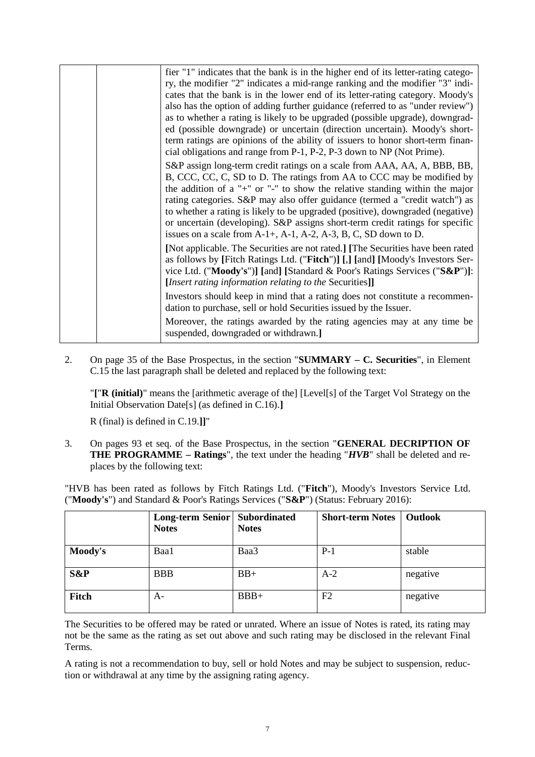|  | fier "1" indicates that the bank is in the higher end of its letter-rating catego-                                                                              |
|--|-----------------------------------------------------------------------------------------------------------------------------------------------------------------|
|  | ry, the modifier "2" indicates a mid-range ranking and the modifier "3" indi-                                                                                   |
|  | cates that the bank is in the lower end of its letter-rating category. Moody's                                                                                  |
|  | also has the option of adding further guidance (referred to as "under review")                                                                                  |
|  | as to whether a rating is likely to be upgraded (possible upgrade), downgrad-                                                                                   |
|  | ed (possible downgrade) or uncertain (direction uncertain). Moody's short-                                                                                      |
|  | term ratings are opinions of the ability of issuers to honor short-term finan-<br>cial obligations and range from P-1, P-2, P-3 down to NP (Not Prime).         |
|  | S&P assign long-term credit ratings on a scale from AAA, AA, A, BBB, BB,                                                                                        |
|  | B, CCC, CC, C, SD to D. The ratings from AA to CCC may be modified by                                                                                           |
|  | the addition of a "+" or "-" to show the relative standing within the major                                                                                     |
|  | rating categories. S&P may also offer guidance (termed a "credit watch") as                                                                                     |
|  | to whether a rating is likely to be upgraded (positive), downgraded (negative)<br>or uncertain (developing). S&P assigns short-term credit ratings for specific |
|  | issues on a scale from $A-1+$ , $A-1$ , $A-2$ , $A-3$ , $B$ , $C$ , $SD$ down to $D$ .                                                                          |
|  | [Not applicable. The Securities are not rated.] [The Securities have been rated                                                                                 |
|  | as follows by [Fitch Ratings Ltd. ("Fitch")] [,] [and] [Moody's Investors Ser-                                                                                  |
|  | vice Ltd. ("Moody's")] [and] [Standard & Poor's Ratings Services ("S&P")]:                                                                                      |
|  | [Insert rating information relating to the Securities]]                                                                                                         |
|  | Investors should keep in mind that a rating does not constitute a recommen-                                                                                     |
|  | dation to purchase, sell or hold Securities issued by the Issuer.                                                                                               |
|  | Moreover, the ratings awarded by the rating agencies may at any time be<br>suspended, downgraded or withdrawn.]                                                 |

2. On page 35 of the Base Prospectus, in the section "**SUMMARY – C. Securities**", in Element C.15 the last paragraph shall be deleted and replaced by the following text:

"**[**"**R (initial)**" means the [arithmetic average of the] [Level[s] of the Target Vol Strategy on the Initial Observation Date[s] (as defined in C.16).**]**

R (final) is defined in C.19.**]]**"

3. On pages 93 et seq. of the Base Prospectus, in the section "**GENERAL DECRIPTION OF THE PROGRAMME – Ratings**", the text under the heading "*HVB*" shall be deleted and replaces by the following text:

"HVB has been rated as follows by Fitch Ratings Ltd. ("**Fitch**"), Moody's Investors Service Ltd. ("**Moody's**") and Standard & Poor's Ratings Services ("**S&P**") (Status: February 2016):

|         | Long-term Senior   Subordinated<br><b>Notes</b> | <b>Notes</b> | <b>Short-term Notes</b> | <b>Outlook</b> |
|---------|-------------------------------------------------|--------------|-------------------------|----------------|
| Moody's | Baa1                                            | Baa3         | $P-1$                   | stable         |
| S&P     | <b>BBB</b>                                      | $BB+$        | $A-2$                   | negative       |
| Fitch   | A-                                              | $BBB+$       | F <sub>2</sub>          | negative       |

The Securities to be offered may be rated or unrated. Where an issue of Notes is rated, its rating may not be the same as the rating as set out above and such rating may be disclosed in the relevant Final Terms.

A rating is not a recommendation to buy, sell or hold Notes and may be subject to suspension, reduction or withdrawal at any time by the assigning rating agency.